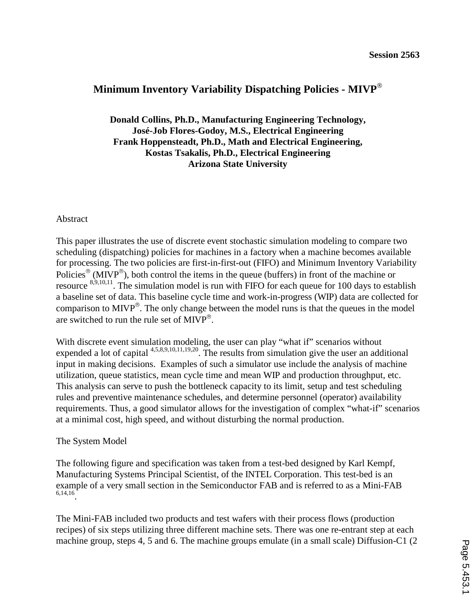# **Minimum Inventory Variability Dispatching Policies - MIVP**

**Donald Collins, Ph.D., Manufacturing Engineering Technology, José-Job Flores-Godoy, M.S., Electrical Engineering Frank Hoppensteadt, Ph.D., Math and Electrical Engineering, Kostas Tsakalis, Ph.D., Electrical Engineering Arizona State University**

# Abstract

This paper illustrates the use of discrete event stochastic simulation modeling to compare two scheduling (dispatching) policies for machines in a factory when a machine becomes available for processing. The two policies are first-in-first-out (FIFO) and Minimum Inventory Variability Policies<sup>®</sup> (MIVP<sup>®</sup>), both control the items in the queue (buffers) in front of the machine or resource  $8,9,10,11$ . The simulation model is run with FIFO for each queue for 100 days to establish a baseline set of data. This baseline cycle time and work-in-progress (WIP) data are collected for comparison to MIVP $^{\circ}$ . The only change between the model runs is that the queues in the model are switched to run the rule set of  $MIVP^*$ .

With discrete event simulation modeling, the user can play "what if" scenarios without expended a lot of capital 4,5,8,9,10,11,19,20. The results from simulation give the user an additional input in making decisions. Examples of such a simulator use include the analysis of machine utilization, queue statistics, mean cycle time and mean WIP and production throughput, etc. This analysis can serve to push the bottleneck capacity to its limit, setup and test scheduling rules and preventive maintenance schedules, and determine personnel (operator) availability requirements. Thus, a good simulator allows for the investigation of complex "what-if" scenarios at a minimal cost, high speed, and without disturbing the normal production.

# The System Model

The following figure and specification was taken from a test-bed designed by Karl Kempf, Manufacturing Systems Principal Scientist, of the INTEL Corporation. This test-bed is an example of a very small section in the Semiconductor FAB and is referred to as a Mini-FAB 6,14,16.

The Mini-FAB included two products and test wafers with their process flows (production recipes) of six steps utilizing three different machine sets. There was one re-entrant step at each machine group, steps 4, 5 and 6. The machine groups emulate (in a small scale) Diffusion-C1 (2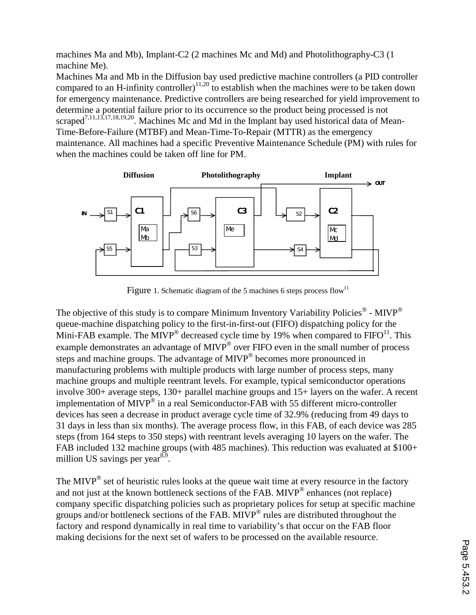machines Ma and Mb), Implant-C2 (2 machines Mc and Md) and Photolithography-C3 (1 machine Me).

Machines Ma and Mb in the Diffusion bay used predictive machine controllers (a PID controller compared to an H-infinity controller)<sup>11,20</sup> to establish when the machines were to be taken down for emergency maintenance. Predictive controllers are being researched for yield improvement to determine a potential failure prior to its occurrence so the product being processed is not scraped<sup>7,11,13,17,18,19,20</sup>. Machines Mc and Md in the Implant bay used historical data of Mean-Time-Before-Failure (MTBF) and Mean-Time-To-Repair (MTTR) as the emergency maintenance. All machines had a specific Preventive Maintenance Schedule (PM) with rules for when the machines could be taken off line for PM.



Figure 1. Schematic diagram of the 5 machines 6 steps process flow<sup>11</sup>

The objective of this study is to compare Minimum Inventory Variability Policies<sup> $\infty$ </sup> - MIVP<sup>®</sup> queue-machine dispatching policy to the first-in-first-out (FIFO) dispatching policy for the Mini-FAB example. The MIVP<sup>®</sup> decreased cycle time by 19% when compared to  $FIFO<sup>11</sup>$ . This example demonstrates an advantage of  $MIVP^*$  over FIFO even in the small number of process steps and machine groups. The advantage of MIVP<sup>®</sup> becomes more pronounced in manufacturing problems with multiple products with large number of process steps, many machine groups and multiple reentrant levels. For example, typical semiconductor operations involve 300+ average steps, 130+ parallel machine groups and 15+ layers on the wafer. A recent implementation of MIVP<sup>®</sup> in a real Semiconductor-FAB with 55 different micro-controller devices has seen a decrease in product average cycle time of 32.9% (reducing from 49 days to 31 days in less than six months). The average process flow, in this FAB, of each device was 285 steps (from 164 steps to 350 steps) with reentrant levels averaging 10 layers on the wafer. The FAB included 132 machine groups (with 485 machines). This reduction was evaluated at \$100+ million US savings per year<sup>8,9</sup>.

The MIVP<sup>®</sup> set of heuristic rules looks at the queue wait time at every resource in the factory and not just at the known bottleneck sections of the FAB. MIVP $^{\circ}$  enhances (not replace) company specific dispatching policies such as proprietary polices for setup at specific machine groups and/or bottleneck sections of the FAB. MIVP<sup>®</sup> rules are distributed throughout the factory and respond dynamically in real time to variability's that occur on the FAB floor making decisions for the next set of wafers to be processed on the available resource.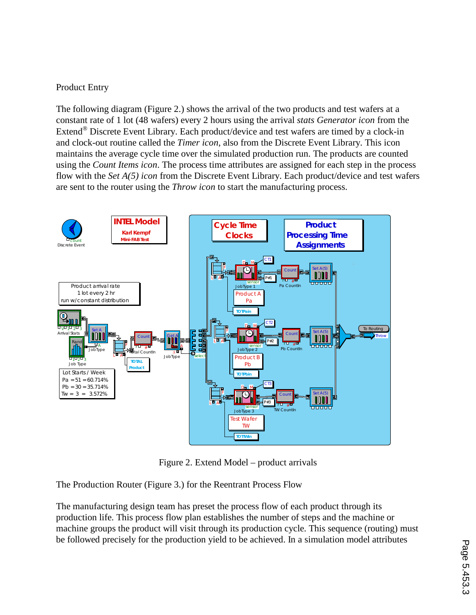# Product Entry

The following diagram (Figure 2.) shows the arrival of the two products and test wafers at a constant rate of 1 lot (48 wafers) every 2 hours using the arrival *stats Generator icon* from the Extend<sup>®</sup> Discrete Event Library. Each product/device and test wafers are timed by a clock-in and clock-out routine called the *Timer icon*, also from the Discrete Event Library. This icon maintains the average cycle time over the simulated production run. The products are counted using the *Count Items icon*. The process time attributes are assigned for each step in the process flow with the *Set A(5) icon* from the Discrete Event Library. Each product/device and test wafers are sent to the router using the *Throw icon* to start the manufacturing process.



Figure 2. Extend Model – product arrivals

The Production Router (Figure 3.) for the Reentrant Process Flow

The manufacturing design team has preset the process flow of each product through its production life. This process flow plan establishes the number of steps and the machine or machine groups the product will visit through its production cycle. This sequence (routing) must be followed precisely for the production yield to be achieved. In a simulation model attributes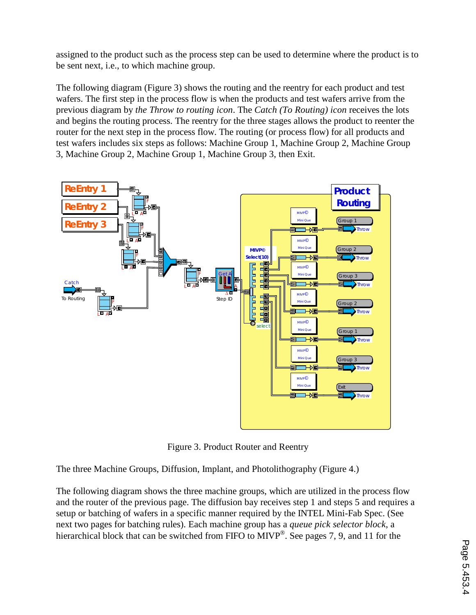assigned to the product such as the process step can be used to determine where the product is to be sent next, i.e., to which machine group.

The following diagram (Figure 3) shows the routing and the reentry for each product and test wafers. The first step in the process flow is when the products and test wafers arrive from the previous diagram by *the Throw to routing icon*. The *Catch (To Routing) icon* receives the lots and begins the routing process. The reentry for the three stages allows the product to reenter the router for the next step in the process flow. The routing (or process flow) for all products and test wafers includes six steps as follows: Machine Group 1, Machine Group 2, Machine Group 3, Machine Group 2, Machine Group 1, Machine Group 3, then Exit.



Figure 3. Product Router and Reentry

The three Machine Groups, Diffusion, Implant, and Photolithography (Figure 4.)

The following diagram shows the three machine groups, which are utilized in the process flow and the router of the previous page. The diffusion bay receives step 1 and steps 5 and requires a setup or batching of wafers in a specific manner required by the INTEL Mini-Fab Spec. (See next two pages for batching rules). Each machine group has a *queue pick selector block*, a hierarchical block that can be switched from FIFO to MIVP<sup>®</sup>. See pages 7, 9, and 11 for the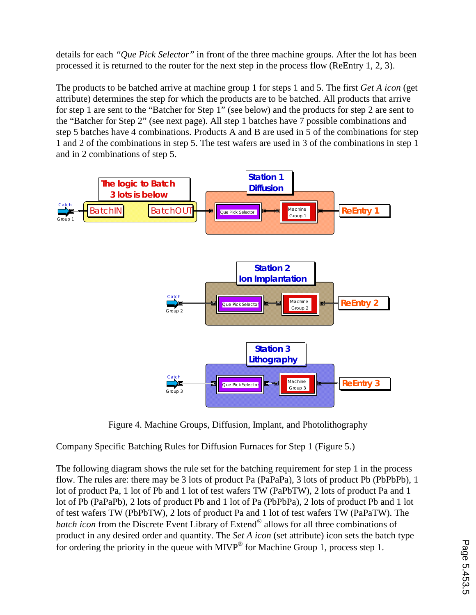details for each *"Que Pick Selector"* in front of the three machine groups. After the lot has been processed it is returned to the router for the next step in the process flow (ReEntry 1, 2, 3).

The products to be batched arrive at machine group 1 for steps 1 and 5. The first *Get A icon* (get attribute) determines the step for which the products are to be batched. All products that arrive for step 1 are sent to the "Batcher for Step 1" (see below) and the products for step 2 are sent to the "Batcher for Step 2" (see next page). All step 1 batches have 7 possible combinations and step 5 batches have 4 combinations. Products A and B are used in 5 of the combinations for step 1 and 2 of the combinations in step 5. The test wafers are used in 3 of the combinations in step 1 and in 2 combinations of step 5.



Figure 4. Machine Groups, Diffusion, Implant, and Photolithography

Company Specific Batching Rules for Diffusion Furnaces for Step 1 (Figure 5.)

The following diagram shows the rule set for the batching requirement for step 1 in the process flow. The rules are: there may be 3 lots of product Pa (PaPaPa), 3 lots of product Pb (PbPbPb), 1 lot of product Pa, 1 lot of Pb and 1 lot of test wafers TW (PaPbTW), 2 lots of product Pa and 1 lot of Pb (PaPaPb), 2 lots of product Pb and 1 lot of Pa (PbPbPa), 2 lots of product Pb and 1 lot of test wafers TW (PbPbTW), 2 lots of product Pa and 1 lot of test wafers TW (PaPaTW). The *batch icon* from the Discrete Event Library of Extend® allows for all three combinations of product in any desired order and quantity. The *Set A icon* (set attribute) icon sets the batch type for ordering the priority in the queue with  $MIVP^*$  for Machine Group 1, process step 1.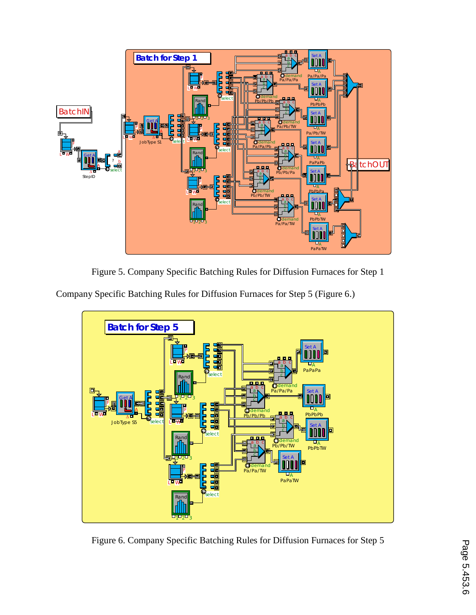

Figure 5. Company Specific Batching Rules for Diffusion Furnaces for Step 1

Company Specific Batching Rules for Diffusion Furnaces for Step 5 (Figure 6.)



Figure 6. Company Specific Batching Rules for Diffusion Furnaces for Step 5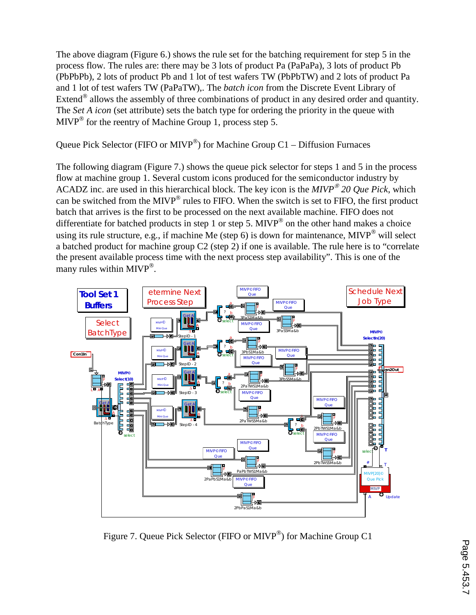The above diagram (Figure 6.) shows the rule set for the batching requirement for step 5 in the process flow. The rules are: there may be 3 lots of product Pa (PaPaPa), 3 lots of product Pb (PbPbPb), 2 lots of product Pb and 1 lot of test wafers TW (PbPbTW) and 2 lots of product Pa and 1 lot of test wafers TW (PaPaTW),. The *batch icon* from the Discrete Event Library of Extend  $^{\circledR}$  allows the assembly of three combinations of product in any desired order and quantity. The *Set A icon* (set attribute) sets the batch type for ordering the priority in the queue with  $MIVP^{\otimes}$  for the reentry of Machine Group 1, process step 5.

Queue Pick Selector (FIFO or MIVP®) for Machine Group C1 – Diffusion Furnaces

The following diagram (Figure 7.) shows the queue pick selector for steps 1 and 5 in the process flow at machine group 1. Several custom icons produced for the semiconductor industry by ACADZ inc. are used in this hierarchical block. The key icon is the  $MIVP^*$  20 Que Pick, which can be switched from the MIVP $^{\circ}$  rules to FIFO. When the switch is set to FIFO, the first product batch that arrives is the first to be processed on the next available machine. FIFO does not differentiate for batched products in step 1 or step 5. MIVP<sup>®</sup> on the other hand makes a choice using its rule structure, e.g., if machine Me (step 6) is down for maintenance, MIVP<sup>®</sup> will select a batched product for machine group C2 (step 2) if one is available. The rule here is to "correlate the present available process time with the next process step availability". This is one of the many rules within MIVP<sup>®</sup>.



Figure 7. Queue Pick Selector (FIFO or MIVP<sup>®</sup>) for Machine Group C1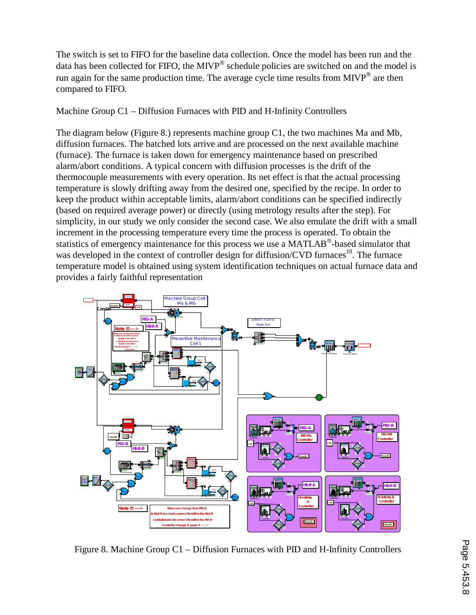The switch is set to FIFO for the baseline data collection. Once the model has been run and the data has been collected for FIFO, the MIVP $^{\circ}$  schedule policies are switched on and the model is run again for the same production time. The average cycle time results from  $MIVP^{\circledast}$  are then compared to FIFO.

Machine Group C1 – Diffusion Furnaces with PID and H-Infinity Controllers

The diagram below (Figure 8.) represents machine group C1, the two machines Ma and Mb, diffusion furnaces. The batched lots arrive and are processed on the next available machine (furnace). The furnace is taken down for emergency maintenance based on prescribed alarm/abort conditions. A typical concern with diffusion processes is the drift of the thermocouple measurements with every operation. Its net effect is that the actual processing temperature is slowly drifting away from the desired one, specified by the recipe. In order to keep the product within acceptable limits, alarm/abort conditions can be specified indirectly (based on required average power) or directly (using metrology results after the step). For simplicity, in our study we only consider the second case. We also emulate the drift with a small increment in the processing temperature every time the process is operated. To obtain the statistics of emergency maintenance for this process we use a MATLAB<sup>®</sup>-based simulator that was developed in the context of controller design for diffusion/CVD furnaces<sup>18</sup>. The furnace temperature model is obtained using system identification techniques on actual furnace data and provides a fairly faithful representation



Figure 8. Machine Group C1 – Diffusion Furnaces with PID and H-Infinity Controllers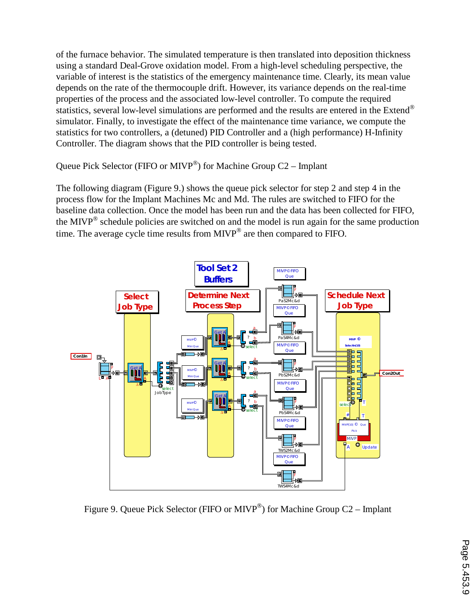of the furnace behavior. The simulated temperature is then translated into deposition thickness using a standard Deal-Grove oxidation model. From a high-level scheduling perspective, the variable of interest is the statistics of the emergency maintenance time. Clearly, its mean value depends on the rate of the thermocouple drift. However, its variance depends on the real-time properties of the process and the associated low-level controller. To compute the required statistics, several low-level simulations are performed and the results are entered in the Extend<sup>®</sup> simulator. Finally, to investigate the effect of the maintenance time variance, we compute the statistics for two controllers, a (detuned) PID Controller and a (high performance) H-Infinity Controller. The diagram shows that the PID controller is being tested.

Queue Pick Selector (FIFO or MIVP®) for Machine Group C2 – Implant

The following diagram (Figure 9.) shows the queue pick selector for step 2 and step 4 in the process flow for the Implant Machines Mc and Md. The rules are switched to FIFO for the baseline data collection. Once the model has been run and the data has been collected for FIFO, the MIVP<sup>®</sup> schedule policies are switched on and the model is run again for the same production time. The average cycle time results from  $MIVP^{\otimes}$  are then compared to FIFO.



Figure 9. Queue Pick Selector (FIFO or MIVP<sup>®</sup>) for Machine Group C2 – Implant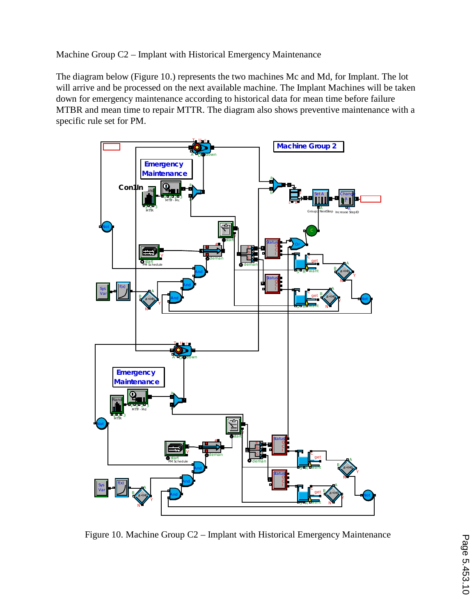Machine Group C2 – Implant with Historical Emergency Maintenance

The diagram below (Figure 10.) represents the two machines Mc and Md, for Implant. The lot will arrive and be processed on the next available machine. The Implant Machines will be taken down for emergency maintenance according to historical data for mean time before failure MTBR and mean time to repair MTTR. The diagram also shows preventive maintenance with a specific rule set for PM.



Figure 10. Machine Group C2 – Implant with Historical Emergency Maintenance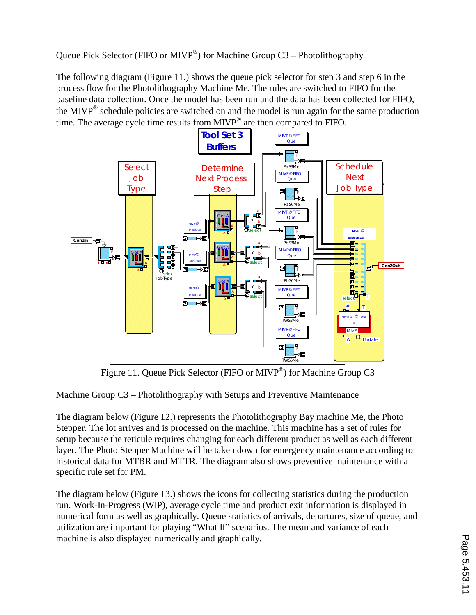Queue Pick Selector (FIFO or MIVP<sup>®</sup>) for Machine Group C3 – Photolithography

The following diagram (Figure 11.) shows the queue pick selector for step 3 and step 6 in the process flow for the Photolithography Machine Me. The rules are switched to FIFO for the baseline data collection. Once the model has been run and the data has been collected for FIFO, the MIVP<sup>®</sup> schedule policies are switched on and the model is run again for the same production time. The average cycle time results from  $MIVP^*$  are then compared to FIFO.



Figure 11. Queue Pick Selector (FIFO or MIVP®) for Machine Group C3

Machine Group C3 – Photolithography with Setups and Preventive Maintenance

The diagram below (Figure 12.) represents the Photolithography Bay machine Me, the Photo Stepper. The lot arrives and is processed on the machine. This machine has a set of rules for setup because the reticule requires changing for each different product as well as each different layer. The Photo Stepper Machine will be taken down for emergency maintenance according to historical data for MTBR and MTTR. The diagram also shows preventive maintenance with a specific rule set for PM.

The diagram below (Figure 13.) shows the icons for collecting statistics during the production run. Work-In-Progress (WIP), average cycle time and product exit information is displayed in numerical form as well as graphically. Queue statistics of arrivals, departures, size of queue, and utilization are important for playing "What If" scenarios. The mean and variance of each machine is also displayed numerically and graphically.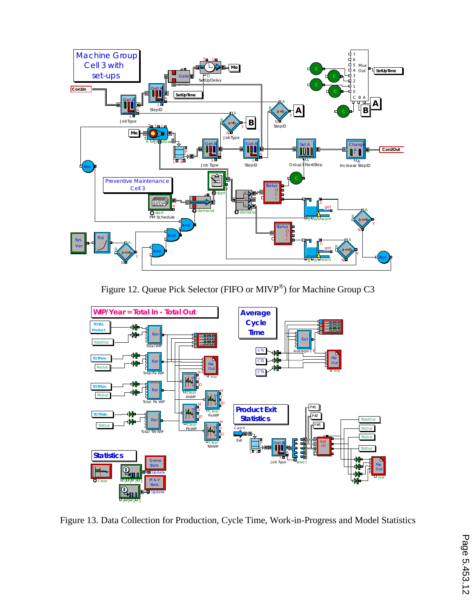

Figure 12. Queue Pick Selector (FIFO or MIVP®) for Machine Group C3



Figure 13. Data Collection for Production, Cycle Time, Work-in-Progress and Model Statistics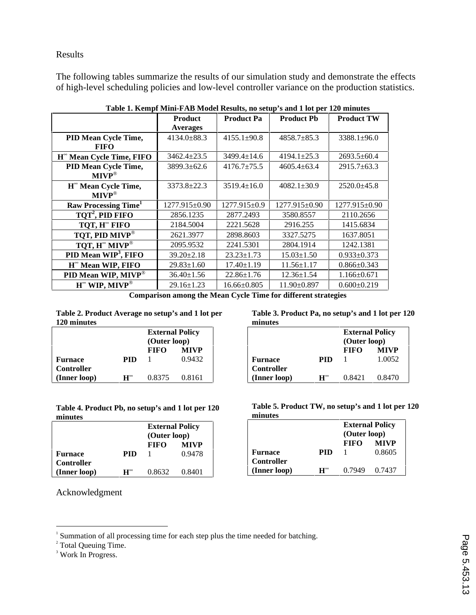Results

The following tables summarize the results of our simulation study and demonstrate the effects of high-level scheduling policies and low-level controller variance on the production statistics.

|                                             | <b>Product</b><br><b>Averages</b> | <b>Product Pa</b> | <b>Product Ph</b> | <b>Product TW</b> |
|---------------------------------------------|-----------------------------------|-------------------|-------------------|-------------------|
| PID Mean Cycle Time,<br><b>FIFO</b>         | $4134.0 \pm 88.3$                 | $4155.1 \pm 90.8$ | $4858.7 \pm 85.3$ | $3388.1 \pm 96.0$ |
| H <sup>om</sup> Mean Cycle Time, FIFO       | $3462.4 \pm 23.5$                 | $3499.4 \pm 14.6$ | $4194.1 \pm 25.3$ | $2693.5 \pm 60.4$ |
| PID Mean Cycle Time,<br>$MIVP^{\circledR}$  | $3899.3 \pm 62.6$                 | $4176.7 \pm 75.5$ | $4605.4 \pm 63.4$ | $2915.7\pm 63.3$  |
| H <sup>*</sup> Mean Cycle Time,<br>$MIVP^*$ | 3373.8±22.3                       | $3519.4 \pm 16.0$ | $4082.1 \pm 30.9$ | $2520.0 \pm 45.8$ |
| <b>Raw Processing Time</b> <sup>1</sup>     | 1277.915±0.90                     | $1277.915\pm0.9$  | $1277.915\pm0.90$ | 1277.915±0.90     |
| TOT <sup>2</sup> , PID FIFO                 | 2856.1235                         | 2877.2493         | 3580.8557         | 2110.2656         |
| TOT, H <sup>®</sup> FIFO                    | 2184.5004                         | 2221.5628         | 2916.255          | 1415.6834         |
| TOT, PID MIVP®                              | 2621.3977                         | 2898.8603         | 3327.5275         | 1637.8051         |
| TQT, $H^{\infty}$ MIVP®                     | 2095.9532                         | 2241.5301         | 2804.1914         | 1242.1381         |
| PID Mean WIP <sup>3</sup> , FIFO            | $39.20 \pm 2.18$                  | $23.23 \pm 1.73$  | $15.03 \pm 1.50$  | $0.933 \pm 0.373$ |
| H <sup>*</sup> Mean WIP, FIFO               | $29.83 \pm 1.60$                  | $17.40 \pm 1.19$  | $11.56 \pm 1.17$  | $0.866 \pm 0.343$ |
| PID Mean WIP, MIVP®                         | $36.40 \pm 1.56$                  | $22.86 \pm 1.76$  | $12.36 \pm 1.54$  | $1.166 \pm 0.671$ |
| $H^{\infty}$ WIP, MIVP <sup>®</sup>         | $29.16 \pm 1.23$                  | $16.66 \pm 0.805$ | $11.90 \pm 0.897$ | $0.600 \pm 0.219$ |

**Table 1. Kempf Mini-FAB Model Results, no setup's and 1 lot per 120 minutes** 

**Comparison among the Mean Cycle Time for different strategies** 

**Table 2. Product Average no setup's and 1 lot per 120 minutes** 

|                   |                     | <b>External Policy</b><br>(Outer loop) |             |  |
|-------------------|---------------------|----------------------------------------|-------------|--|
|                   |                     | <b>FIFO</b>                            | <b>MIVP</b> |  |
| <b>Furnace</b>    | PID                 |                                        | 0.9432      |  |
| <b>Controller</b> |                     |                                        |             |  |
| (Inner loop)      | $\mathbf{H}^\infty$ | 0.8375                                 | 0.8161      |  |

**Table 4. Product Pb, no setup's and 1 lot per 120 minutes**

|                   |                     | <b>External Policy</b><br>(Outer loop) |             |  |
|-------------------|---------------------|----------------------------------------|-------------|--|
|                   |                     | <b>FIFO</b>                            | <b>MIVP</b> |  |
| <b>Furnace</b>    | PID                 |                                        | 0.9478      |  |
| <b>Controller</b> |                     |                                        |             |  |
| (Inner loop)      | $\mathbf{H}^\infty$ | 0.8632                                 | 0.8401      |  |

Acknowledgment

**Table 3. Product Pa, no setup's and 1 lot per 120 minutes** 

|                   |                    | <b>External Policy</b><br>(Outer loop) |             |
|-------------------|--------------------|----------------------------------------|-------------|
|                   |                    | <b>FIFO</b>                            | <b>MIVP</b> |
| <b>Furnace</b>    | PID                |                                        | 1.0052      |
| <b>Controller</b> |                    |                                        |             |
| (Inner loop)      | $\mathbf H^\infty$ | 0.8421                                 | 0.8470      |

**Table 5. Product TW, no setup's and 1 lot per 120 minutes** 

|                   |                     | <b>External Policy</b><br>(Outer loop) |             |
|-------------------|---------------------|----------------------------------------|-------------|
|                   |                     | <b>FIFO</b>                            | <b>MIVP</b> |
| Furnace           | PID                 |                                        | 0.8605      |
| <b>Controller</b> |                     |                                        |             |
| (Inner loop)      | $\mathbf{H}^\infty$ | 0.7949                                 | 0.7437      |

<sup>&</sup>lt;sup>1</sup> Summation of all processing time for each step plus the time needed for batching.<br><sup>2</sup> Total Queuing Time.

<sup>&</sup>lt;sup>3</sup> Work In Progress.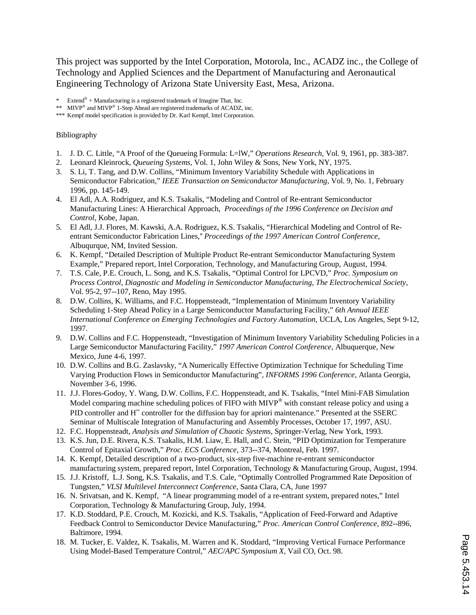This project was supported by the Intel Corporation, Motorola, Inc., ACADZ inc., the College of Technology and Applied Sciences and the Department of Manufacturing and Aeronautical Engineering Technology of Arizona State University East, Mesa, Arizona.

\* Extend  $*$  + Manufacturing is a registered trademark of Imagine That, Inc.

\*\* MIVP<sup>®</sup> and MIVP<sup>®</sup> 1-Step Ahead are registered trademarks of ACADZ, inc.

\*\*\* Kempf model specification is provided by Dr. Karl Kempf, Intel Corporation.

#### Bibliography

- 1. J. D. C. Little, "A Proof of the Queueing Formula: L=lW," *Operations Research*, Vol. 9, 1961, pp. 383-387.
- 2. Leonard Kleinrock, *Queueing Systems*, Vol. 1, John Wiley & Sons, New York, NY, 1975.
- 3. S. Li, T. Tang, and D.W. Collins, "Minimum Inventory Variability Schedule with Applications in Semiconductor Fabrication," *IEEE Transaction on Semiconductor Manufacturing*, Vol. 9, No. 1, February 1996, pp. 145-149.
- 4. El Adl, A.A. Rodriguez, and K.S. Tsakalis, "Modeling and Control of Re-entrant Semiconductor Manufacturing Lines: A Hierarchical Approach, *Proceedings of the 1996 Conference on Decision and Control*, Kobe, Japan.
- 5. El Adl, J.J. Flores, M. Kawski, A.A. Rodriguez, K.S. Tsakalis, "Hierarchical Modeling and Control of Reentrant Semiconductor Fabrication Lines,'' *Proceedings of the 1997 American Control Conference*, Albuqurque, NM, Invited Session.
- 6. K. Kempf, "Detailed Description of Multiple Product Re-entrant Semiconductor Manufacturing System Example," Prepared report, Intel Corporation, Technology, and Manufacturing Group, August, 1994.
- 7. T.S. Cale, P.E. Crouch, L. Song, and K.S. Tsakalis, "Optimal Control for LPCVD," *Proc. Symposium on Process Control, Diagnostic and Modeling in Semiconductor Manufacturing, The Electrochemical Society*, Vol. 95-2, 97--107, Reno, May 1995.
- 8. D.W. Collins, K. Williams, and F.C. Hoppensteadt, "Implementation of Minimum Inventory Variability Scheduling 1-Step Ahead Policy in a Large Semiconductor Manufacturing Facility," *6th Annual IEEE International Conference on Emerging Technologies and Factory Automation*, UCLA, Los Angeles, Sept 9-12, 1997.
- 9. D.W. Collins and F.C. Hoppensteadt, "Investigation of Minimum Inventory Variability Scheduling Policies in a Large Semiconductor Manufacturing Facility," *1997 American Control Conference*, Albuquerque, New Mexico, June 4-6, 1997.
- 10. D.W. Collins and B.G. Zaslavsky, "A Numerically Effective Optimization Technique for Scheduling Time Varying Production Flows in Semiconductor Manufacturing", *INFORMS 1996 Conference*, Atlanta Georgia, November 3-6, 1996.
- 11. J.J. Flores-Godoy, Y. Wang, D.W. Collins, F.C. Hoppensteadt, and K. Tsakalis, "Intel Mini-FAB Simulation Model comparing machine scheduling polices of FIFO with MIVP<sup>®</sup> with constant release policy and using a PID controller and H<sup>∞</sup> controller for the diffusion bay for apriori maintenance." Presented at the SSERC Seminar of Multiscale Integration of Manufacturing and Assembly Processes, October 17, 1997, ASU.
- 12. F.C. Hoppensteadt, *Analysis and Simulation of Chaotic Systems*, Springer-Verlag, New York, 1993.
- 13. K.S. Jun, D.E. Rivera, K.S. Tsakalis, H.M. Liaw, E. Hall, and C. Stein, "PID Optimization for Temperature Control of Epitaxial Growth," *Proc. ECS Conference*, 373--374, Montreal, Feb. 1997.
- 14. K. Kempf, Detailed description of a two-product, six-step five-machine re-entrant semiconductor manufacturing system, prepared report, Intel Corporation, Technology & Manufacturing Group, August, 1994.
- 15. J.J. Kristoff, L.J. Song, K.S. Tsakalis, and T.S. Cale, "Optimally Controlled Programmed Rate Deposition of Tungsten," *VLSI Multilevel Interconnect Conference*, Santa Clara, CA, June 1997
- 16. N. Srivatsan, and K. Kempf, "A linear programming model of a re-entrant system, prepared notes," Intel Corporation, Technology & Manufacturing Group, July, 1994.
- 17. K.D. Stoddard, P.E. Crouch, M. Kozicki, and K.S. Tsakalis, "Application of Feed-Forward and Adaptive Feedback Control to Semiconductor Device Manufacturing*,*" *Proc. American Control Conference*, 892--896, Baltimore, 1994.
- 18. M. Tucker, E. Valdez, K. Tsakalis, M. Warren and K. Stoddard, "Improving Vertical Furnace Performance Using Model-Based Temperature Control," *AEC/APC Symposium X,* Vail CO, Oct. 98.